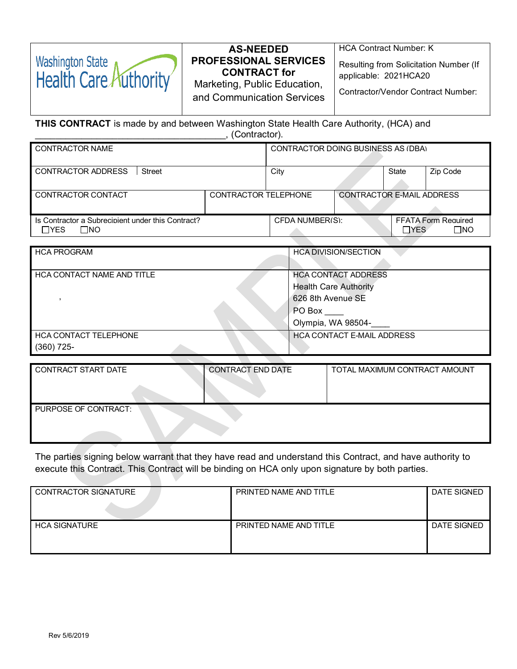| <b>AS-NEEDED</b><br>Washington State<br>Health Care Authority<br><b>PROFESSIONAL SERVICES</b><br><b>CONTRACT for</b><br>Marketing, Public Education,<br>and Communication Services | <b>HCA Contract Number: K</b><br>Resulting from Solicitation Number (If<br>applicable: 2021HCA20<br><b>Contractor/Vendor Contract Number:</b> |
|------------------------------------------------------------------------------------------------------------------------------------------------------------------------------------|-----------------------------------------------------------------------------------------------------------------------------------------------|
|------------------------------------------------------------------------------------------------------------------------------------------------------------------------------------|-----------------------------------------------------------------------------------------------------------------------------------------------|

**THIS CONTRACT** is made by and between Washington State Health Care Authority, (HCA) and \_\_\_\_\_\_\_\_\_\_\_\_\_\_\_\_\_\_\_\_\_\_\_\_\_\_\_\_\_\_\_\_\_\_\_\_\_, (Contractor).

| <b>CONTRACTOR NAME</b>                                                   |  | <b>CONTRACTOR DOING BUSINESS AS (DBA)</b> |                                  |             |                                            |
|--------------------------------------------------------------------------|--|-------------------------------------------|----------------------------------|-------------|--------------------------------------------|
| CONTRACTOR ADDRESS<br><b>Street</b>                                      |  | City                                      |                                  | State       | Zip Code                                   |
| CONTRACTOR TELEPHONE<br>CONTRACTOR CONTACT                               |  |                                           | <b>CONTRACTOR E-MAIL ADDRESS</b> |             |                                            |
| Is Contractor a Subrecipient under this Contract?<br>$\sqcap$ YES<br>7NO |  | CFDA NUMBER(S):                           |                                  | <b>TYES</b> | <b>FFATA Form Required</b><br>$\square$ NO |

| <b>HCA PROGRAM</b>           | <b>HCA DIVISION/SECTION</b>       |
|------------------------------|-----------------------------------|
|                              |                                   |
| HCA CONTACT NAME AND TITLE   | <b>HCA CONTACT ADDRESS</b>        |
|                              | <b>Health Care Authority</b>      |
|                              | 626 8th Avenue SE                 |
|                              | PO Box                            |
|                              | Olympia, WA 98504-                |
| <b>HCA CONTACT TELEPHONE</b> | <b>HCA CONTACT E-MAIL ADDRESS</b> |
| $(360)$ 725-                 |                                   |

| CONTRACT START DATE  | CONTRACT END DATE | TOTAL MAXIMUM CONTRACT AMOUNT |
|----------------------|-------------------|-------------------------------|
|                      |                   |                               |
| PURPOSE OF CONTRACT: |                   |                               |
|                      |                   |                               |

The parties signing below warrant that they have read and understand this Contract, and have authority to execute this Contract. This Contract will be binding on HCA only upon signature by both parties.

| <b>CONTRACTOR SIGNATURE</b> | PRINTED NAME AND TITLE | DATE SIGNED |
|-----------------------------|------------------------|-------------|
|                             |                        |             |
| <b>HCA SIGNATURE</b>        | PRINTED NAME AND TITLE | DATE SIGNED |
|                             |                        |             |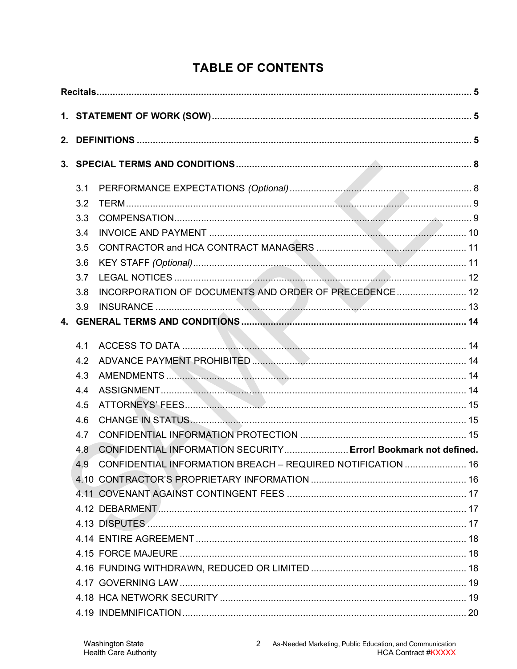# **TABLE OF CONTENTS**

| 3.1 |                                                                |  |
|-----|----------------------------------------------------------------|--|
| 3.2 |                                                                |  |
| 3.3 |                                                                |  |
| 3.4 |                                                                |  |
| 3.5 |                                                                |  |
| 3.6 |                                                                |  |
| 3.7 |                                                                |  |
| 3.8 | INCORPORATION OF DOCUMENTS AND ORDER OF PRECEDENCE 12          |  |
| 3.9 |                                                                |  |
|     |                                                                |  |
| 4.1 |                                                                |  |
| 4.2 |                                                                |  |
| 4.3 |                                                                |  |
| 4.4 |                                                                |  |
| 4.5 |                                                                |  |
| 4.6 |                                                                |  |
| 4.7 |                                                                |  |
| 4.8 | CONFIDENTIAL INFORMATION SECURITY Error! Bookmark not defined. |  |
| 49  | CONFIDENTIAL INFORMATION BREACH - REQUIRED NOTIFICATION  16    |  |
|     |                                                                |  |
|     |                                                                |  |
|     |                                                                |  |
|     |                                                                |  |
|     |                                                                |  |
|     |                                                                |  |
|     |                                                                |  |
|     |                                                                |  |
|     |                                                                |  |
|     |                                                                |  |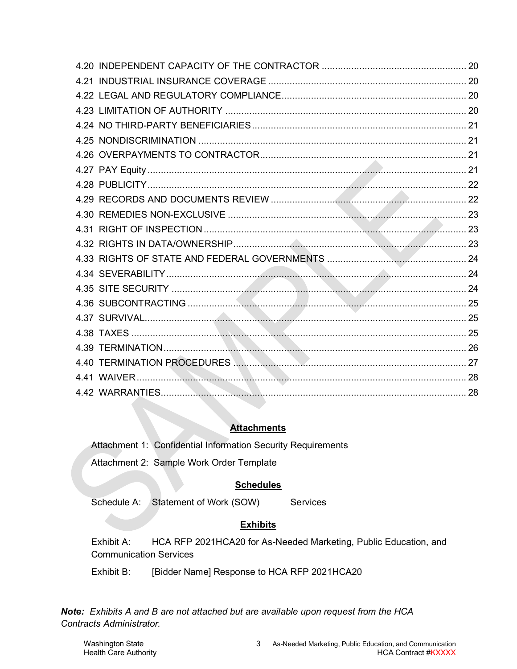## **Attachments**

Attachment 1: Confidential Information Security Requirements

Attachment 2: Sample Work Order Template

## **Schedules**

Schedule A: Statement of Work (SOW) Services

## **Exhibits**

Exhibit A: HCA RFP 2021HCA20 for As-Needed Marketing, Public Education, and Communication Services

Exhibit B: [Bidder Name] Response to HCA RFP 2021HCA20

*Note: Exhibits A and B are not attached but are available upon request from the HCA Contracts Administrator.*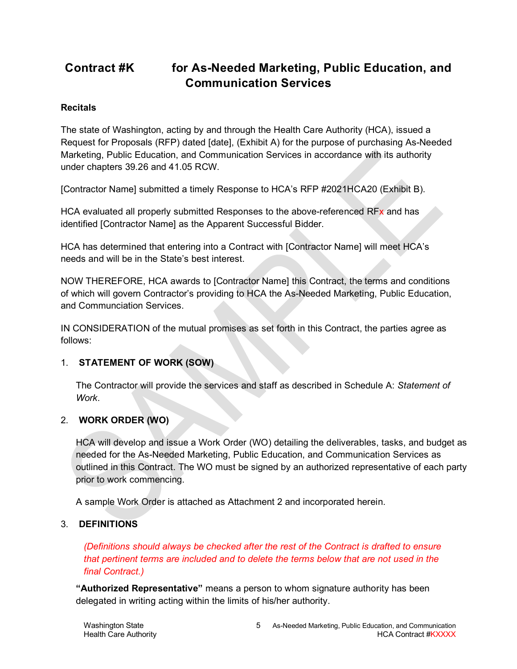# **Contract #K for As-Needed Marketing, Public Education, and Communication Services**

## <span id="page-4-0"></span>**Recitals**

The state of Washington, acting by and through the Health Care Authority (HCA), issued a Request for Proposals (RFP) dated [date], (Exhibit A) for the purpose of purchasing As-Needed Marketing, Public Education, and Communication Services in accordance with its authority under chapters 39.26 and 41.05 RCW.

[Contractor Name] submitted a timely Response to HCA's RFP #2021HCA20 (Exhibit B).

HCA evaluated all properly submitted Responses to the above-referenced RFx and has identified [Contractor Name] as the Apparent Successful Bidder.

HCA has determined that entering into a Contract with [Contractor Name] will meet HCA's needs and will be in the State's best interest.

NOW THEREFORE, HCA awards to [Contractor Name] this Contract, the terms and conditions of which will govern Contractor's providing to HCA the As-Needed Marketing, Public Education, and Communciation Services.

IN CONSIDERATION of the mutual promises as set forth in this Contract, the parties agree as follows:

## <span id="page-4-1"></span>1. **STATEMENT OF WORK (SOW)**

The Contractor will provide the services and staff as described in Schedule A: *Statement of Work*.

## <span id="page-4-2"></span>2. **WORK ORDER (WO)**

HCA will develop and issue a Work Order (WO) detailing the deliverables, tasks, and budget as needed for the As-Needed Marketing, Public Education, and Communication Services as outlined in this Contract. The WO must be signed by an authorized representative of each party prior to work commencing.

A sample Work Order is attached as Attachment 2 and incorporated herein.

#### 3. **DEFINITIONS**

*(Definitions should always be checked after the rest of the Contract is drafted to ensure that pertinent terms are included and to delete the terms below that are not used in the final Contract.)*

**"Authorized Representative"** means a person to whom signature authority has been delegated in writing acting within the limits of his/her authority.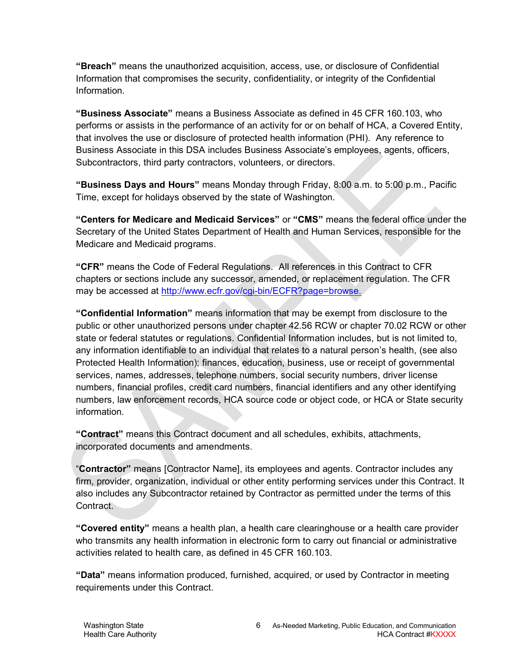**"Breach"** means the unauthorized acquisition, access, use, or disclosure of Confidential Information that compromises the security, confidentiality, or integrity of the Confidential Information.

**"Business Associate"** means a Business Associate as defined in 45 CFR 160.103, who performs or assists in the performance of an activity for or on behalf of HCA, a Covered Entity, that involves the use or disclosure of protected health information (PHI). Any reference to Business Associate in this DSA includes Business Associate's employees, agents, officers, Subcontractors, third party contractors, volunteers, or directors.

**"Business Days and Hours"** means Monday through Friday, 8:00 a.m. to 5:00 p.m., Pacific Time, except for holidays observed by the state of Washington.

**"Centers for Medicare and Medicaid Services"** or **"CMS"** means the federal office under the Secretary of the United States Department of Health and Human Services, responsible for the Medicare and Medicaid programs.

**"CFR"** means the Code of Federal Regulations. All references in this Contract to CFR chapters or sections include any successor, amended, or replacement regulation. The CFR may be accessed at [http://www.ecfr.gov/cgi-bin/ECFR?page=browse.](http://www.ecfr.gov/cgi-bin/ECFR?page=browse)

**"Confidential Information"** means information that may be exempt from disclosure to the public or other unauthorized persons under chapter 42.56 RCW or chapter 70.02 RCW or other state or federal statutes or regulations. Confidential Information includes, but is not limited to, any information identifiable to an individual that relates to a natural person's health, (see also Protected Health Information); finances, education, business, use or receipt of governmental services, names, addresses, telephone numbers, social security numbers, driver license numbers, financial profiles, credit card numbers, financial identifiers and any other identifying numbers, law enforcement records, HCA source code or object code, or HCA or State security information.

**"Contract"** means this Contract document and all schedules, exhibits, attachments, incorporated documents and amendments.

"**Contractor"** means [Contractor Name], its employees and agents. Contractor includes any firm, provider, organization, individual or other entity performing services under this Contract. It also includes any Subcontractor retained by Contractor as permitted under the terms of this Contract.

**"Covered entity"** means a health plan, a health care clearinghouse or a health care provider who transmits any health information in electronic form to carry out financial or administrative activities related to health care, as defined in 45 CFR 160.103.

**"Data"** means information produced, furnished, acquired, or used by Contractor in meeting requirements under this Contract.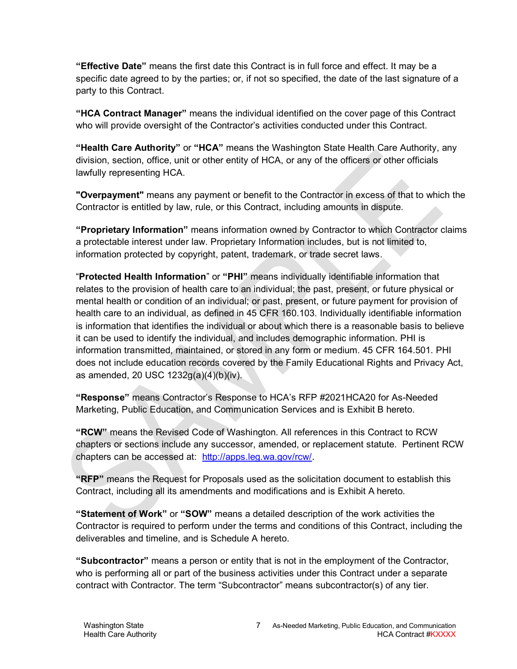**"Effective Date"** means the first date this Contract is in full force and effect. It may be a specific date agreed to by the parties; or, if not so specified, the date of the last signature of a party to this Contract.

**"HCA Contract Manager"** means the individual identified on the cover page of this Contract who will provide oversight of the Contractor's activities conducted under this Contract.

**"Health Care Authority"** or **"HCA"** means the Washington State Health Care Authority, any division, section, office, unit or other entity of HCA, or any of the officers or other officials lawfully representing HCA.

**"Overpayment"** means any payment or benefit to the Contractor in excess of that to which the Contractor is entitled by law, rule, or this Contract, including amounts in dispute.

**"Proprietary Information"** means information owned by Contractor to which Contractor claims a protectable interest under law. Proprietary Information includes, but is not limited to, information protected by copyright, patent, trademark, or trade secret laws.

"**Protected Health Information**" or **"PHI"** means individually identifiable information that relates to the provision of health care to an individual; the past, present, or future physical or mental health or condition of an individual; or past, present, or future payment for provision of health care to an individual, as defined in 45 CFR 160.103. Individually identifiable information is information that identifies the individual or about which there is a reasonable basis to believe it can be used to identify the individual, and includes demographic information. PHI is information transmitted, maintained, or stored in any form or medium. 45 CFR 164.501. PHI does not include education records covered by the Family Educational Rights and Privacy Act, as amended, 20 USC 1232g(a)(4)(b)(iv).

**"Response"** means Contractor's Response to HCA's RFP #2021HCA20 for As-Needed Marketing, Public Education, and Communication Services and is Exhibit B hereto.

**"RCW"** means the Revised Code of Washington. All references in this Contract to RCW chapters or sections include any successor, amended, or replacement statute. Pertinent RCW chapters can be accessed at: [http://apps.leg.wa.gov/rcw/.](http://apps.leg.wa.gov/rcw/)

**"RFP"** means the Request for Proposals used as the solicitation document to establish this Contract, including all its amendments and modifications and is Exhibit A hereto.

**"Statement of Work"** or **"SOW"** means a detailed description of the work activities the Contractor is required to perform under the terms and conditions of this Contract, including the deliverables and timeline, and is Schedule A hereto.

**"Subcontractor"** means a person or entity that is not in the employment of the Contractor, who is performing all or part of the business activities under this Contract under a separate contract with Contractor. The term "Subcontractor" means subcontractor(s) of any tier.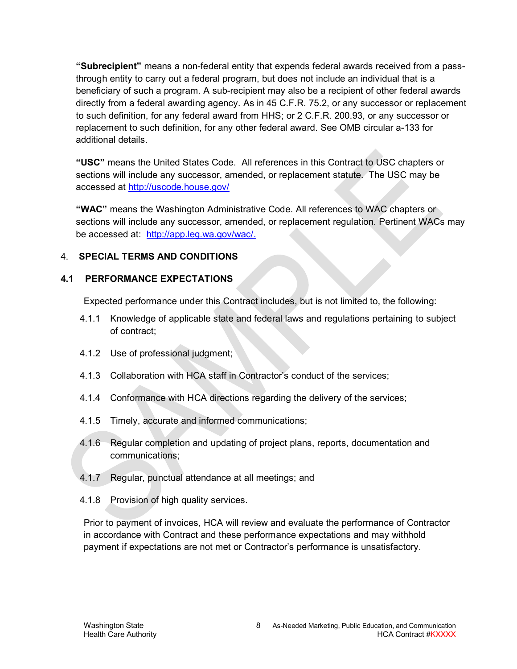**"Subrecipient"** means a non-federal entity that expends federal awards received from a passthrough entity to carry out a federal program, but does not include an individual that is a beneficiary of such a program. A sub-recipient may also be a recipient of other federal awards directly from a federal awarding agency. As in 45 C.F.R. 75.2, or any successor or replacement to such definition, for any federal award from HHS; or 2 C.F.R. 200.93, or any successor or replacement to such definition, for any other federal award. See OMB circular a-133 for additional details.

**"USC"** means the United States Code. All references in this Contract to USC chapters or sections will include any successor, amended, or replacement statute. The USC may be accessed at<http://uscode.house.gov/>

**"WAC"** means the Washington Administrative Code. All references to WAC chapters or sections will include any successor, amended, or replacement regulation. Pertinent WACs may be accessed at: [http://app.leg.wa.gov/wac/.](http://app.leg.wa.gov/wac/)

#### <span id="page-7-0"></span>4. **SPECIAL TERMS AND CONDITIONS**

## <span id="page-7-1"></span>**4.1 PERFORMANCE EXPECTATIONS**

Expected performance under this Contract includes, but is not limited to, the following:

- 4.1.1 Knowledge of applicable state and federal laws and regulations pertaining to subject of contract;
- 4.1.2 Use of professional judgment;
- 4.1.3 Collaboration with HCA staff in Contractor's conduct of the services;
- 4.1.4 Conformance with HCA directions regarding the delivery of the services;
- 4.1.5 Timely, accurate and informed communications;
- 4.1.6 Regular completion and updating of project plans, reports, documentation and communications;
- 4.1.7 Regular, punctual attendance at all meetings; and
- 4.1.8 Provision of high quality services.

Prior to payment of invoices, HCA will review and evaluate the performance of Contractor in accordance with Contract and these performance expectations and may withhold payment if expectations are not met or Contractor's performance is unsatisfactory.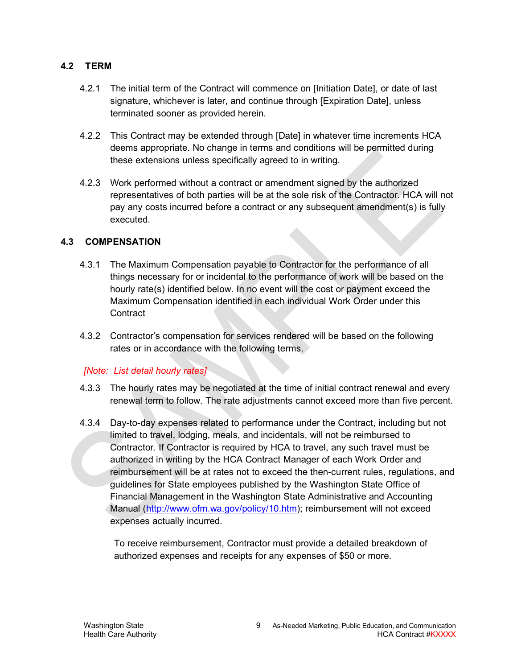#### <span id="page-8-0"></span>**4.2 TERM**

- 4.2.1 The initial term of the Contract will commence on [Initiation Date], or date of last signature, whichever is later, and continue through [Expiration Date], unless terminated sooner as provided herein.
- 4.2.2 This Contract may be extended through [Date] in whatever time increments HCA deems appropriate. No change in terms and conditions will be permitted during these extensions unless specifically agreed to in writing.
- 4.2.3 Work performed without a contract or amendment signed by the authorized representatives of both parties will be at the sole risk of the Contractor. HCA will not pay any costs incurred before a contract or any subsequent amendment(s) is fully executed.

#### <span id="page-8-1"></span>**4.3 COMPENSATION**

- 4.3.1 The Maximum Compensation payable to Contractor for the performance of all things necessary for or incidental to the performance of work will be based on the hourly rate(s) identified below. In no event will the cost or payment exceed the Maximum Compensation identified in each individual Work Order under this **Contract**
- 4.3.2 Contractor's compensation for services rendered will be based on the following rates or in accordance with the following terms.

#### *[Note: List detail hourly rates]*

- 4.3.3 The hourly rates may be negotiated at the time of initial contract renewal and every renewal term to follow. The rate adjustments cannot exceed more than five percent.
- 4.3.4 Day-to-day expenses related to performance under the Contract, including but not limited to travel, lodging, meals, and incidentals, will not be reimbursed to Contractor. If Contractor is required by HCA to travel, any such travel must be authorized in writing by the HCA Contract Manager of each Work Order and reimbursement will be at rates not to exceed the then-current rules, regulations, and guidelines for State employees published by the Washington State Office of Financial Management in the Washington State Administrative and Accounting Manual [\(http://www.ofm.wa.gov/policy/10.htm\)](http://www.ofm.wa.gov/policy/10.htm); reimbursement will not exceed expenses actually incurred.

To receive reimbursement, Contractor must provide a detailed breakdown of authorized expenses and receipts for any expenses of \$50 or more.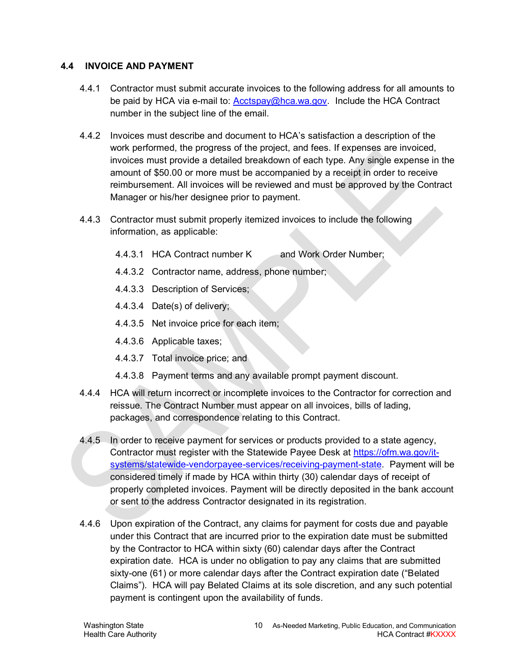#### <span id="page-9-0"></span>**4.4 INVOICE AND PAYMENT**

- 4.4.1 Contractor must submit accurate invoices to the following address for all amounts to be paid by HCA via e-mail to: **Acctspay@hca.wa.gov.** Include the HCA Contract number in the subject line of the email.
- 4.4.2 Invoices must describe and document to HCA's satisfaction a description of the work performed, the progress of the project, and fees. If expenses are invoiced, invoices must provide a detailed breakdown of each type. Any single expense in the amount of \$50.00 or more must be accompanied by a receipt in order to receive reimbursement. All invoices will be reviewed and must be approved by the Contract Manager or his/her designee prior to payment.
- 4.4.3 Contractor must submit properly itemized invoices to include the following information, as applicable:
	- 4.4.3.1 HCA Contract number K and Work Order Number;
	- 4.4.3.2 Contractor name, address, phone number;
	- 4.4.3.3 Description of Services;
	- 4.4.3.4 Date(s) of delivery;
	- 4.4.3.5 Net invoice price for each item;
	- 4.4.3.6 Applicable taxes;
	- 4.4.3.7 Total invoice price; and
	- 4.4.3.8 Payment terms and any available prompt payment discount.
- 4.4.4 HCA will return incorrect or incomplete invoices to the Contractor for correction and reissue. The Contract Number must appear on all invoices, bills of lading, packages, and correspondence relating to this Contract.
- 4.4.5 In order to receive payment for services or products provided to a state agency, Contractor must register with the Statewide Payee Desk at [https://ofm.wa.gov/it](https://ofm.wa.gov/it-systems/statewide-vendorpayee-services/receiving-payment-state)[systems/statewide-vendorpayee-services/receiving-payment-state.](https://ofm.wa.gov/it-systems/statewide-vendorpayee-services/receiving-payment-state) Payment will be considered timely if made by HCA within thirty (30) calendar days of receipt of properly completed invoices. Payment will be directly deposited in the bank account or sent to the address Contractor designated in its registration.
- 4.4.6 Upon expiration of the Contract, any claims for payment for costs due and payable under this Contract that are incurred prior to the expiration date must be submitted by the Contractor to HCA within sixty (60) calendar days after the Contract expiration date. HCA is under no obligation to pay any claims that are submitted sixty-one (61) or more calendar days after the Contract expiration date ("Belated Claims"). HCA will pay Belated Claims at its sole discretion, and any such potential payment is contingent upon the availability of funds.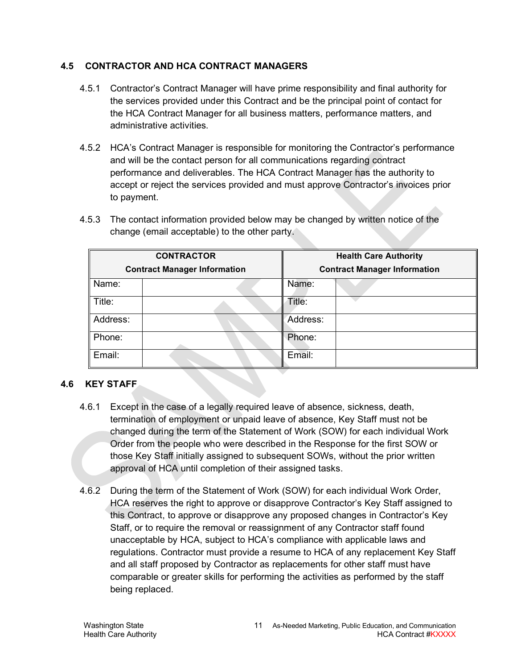#### <span id="page-10-0"></span>**4.5 CONTRACTOR AND HCA CONTRACT MANAGERS**

- 4.5.1 Contractor's Contract Manager will have prime responsibility and final authority for the services provided under this Contract and be the principal point of contact for the HCA Contract Manager for all business matters, performance matters, and administrative activities.
- 4.5.2 HCA's Contract Manager is responsible for monitoring the Contractor's performance and will be the contact person for all communications regarding contract performance and deliverables. The HCA Contract Manager has the authority to accept or reject the services provided and must approve Contractor's invoices prior to payment.
- 4.5.3 The contact information provided below may be changed by written notice of the change (email acceptable) to the other party.

|                                     | <b>CONTRACTOR</b> | <b>Health Care Authority</b>        |  |  |
|-------------------------------------|-------------------|-------------------------------------|--|--|
| <b>Contract Manager Information</b> |                   | <b>Contract Manager Information</b> |  |  |
| Name:                               |                   | Name:                               |  |  |
| Title:                              |                   | Title:                              |  |  |
| Address:                            |                   | Address:                            |  |  |
| Phone:                              |                   | Phone:                              |  |  |
| Email:                              |                   | Email:                              |  |  |

#### <span id="page-10-1"></span>**4.6 KEY STAFF**

- 4.6.1 Except in the case of a legally required leave of absence, sickness, death, termination of employment or unpaid leave of absence, Key Staff must not be changed during the term of the Statement of Work (SOW) for each individual Work Order from the people who were described in the Response for the first SOW or those Key Staff initially assigned to subsequent SOWs, without the prior written approval of HCA until completion of their assigned tasks.
- 4.6.2 During the term of the Statement of Work (SOW) for each individual Work Order, HCA reserves the right to approve or disapprove Contractor's Key Staff assigned to this Contract, to approve or disapprove any proposed changes in Contractor's Key Staff, or to require the removal or reassignment of any Contractor staff found unacceptable by HCA, subject to HCA's compliance with applicable laws and regulations. Contractor must provide a resume to HCA of any replacement Key Staff and all staff proposed by Contractor as replacements for other staff must have comparable or greater skills for performing the activities as performed by the staff being replaced.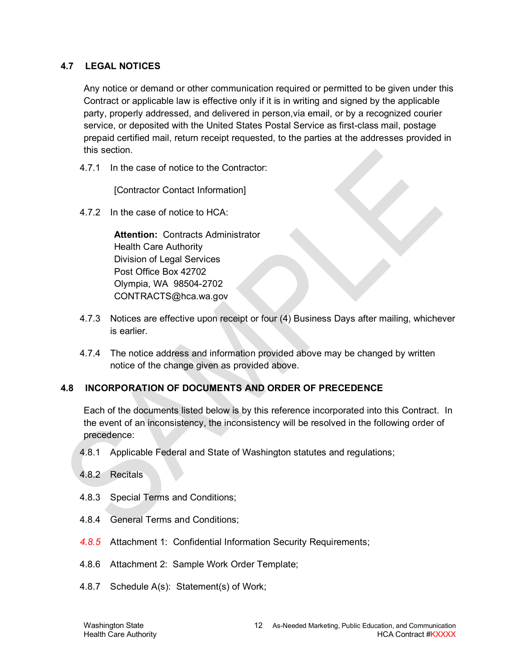#### <span id="page-11-0"></span>**4.7 LEGAL NOTICES**

Any notice or demand or other communication required or permitted to be given under this Contract or applicable law is effective only if it is in writing and signed by the applicable party, properly addressed, and delivered in person,via email, or by a recognized courier service, or deposited with the United States Postal Service as first-class mail, postage prepaid certified mail, return receipt requested, to the parties at the addresses provided in this section.

4.7.1 In the case of notice to the Contractor:

[Contractor Contact Information]

4.7.2 In the case of notice to HCA:

**Attention:** Contracts Administrator Health Care Authority Division of Legal Services Post Office Box 42702 Olympia, WA 98504-2702 CONTRACTS@hca.wa.gov

- 4.7.3 Notices are effective upon receipt or four (4) Business Days after mailing, whichever is earlier.
- 4.7.4 The notice address and information provided above may be changed by written notice of the change given as provided above.

#### <span id="page-11-1"></span>**4.8 INCORPORATION OF DOCUMENTS AND ORDER OF PRECEDENCE**

Each of the documents listed below is by this reference incorporated into this Contract. In the event of an inconsistency, the inconsistency will be resolved in the following order of precedence:

- 4.8.1 Applicable Federal and State of Washington statutes and regulations;
- 4.8.2 Recitals
- 4.8.3 Special Terms and Conditions;
- 4.8.4 General Terms and Conditions;
- *4.8.5* Attachment 1: Confidential Information Security Requirements;
- 4.8.6 Attachment 2: Sample Work Order Template;
- 4.8.7 Schedule A(s): Statement(s) of Work;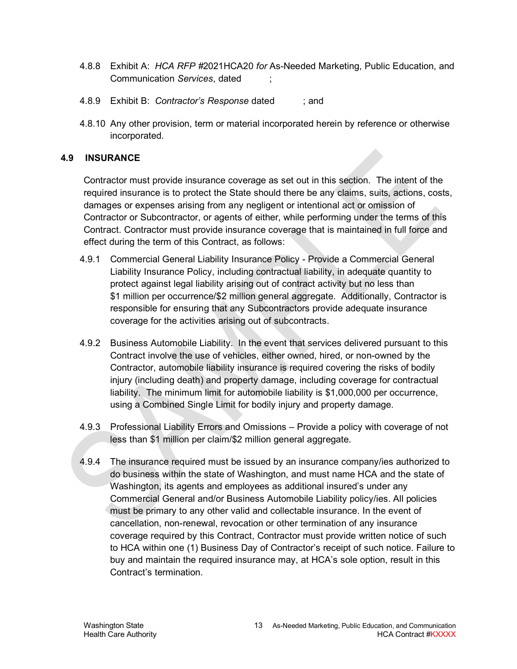- 4.8.8 Exhibit A: *HCA RFP #*2021HCA20 *for* As-Needed Marketing, Public Education, and Communication *Services*, dated ;
- 4.8.9 Exhibit B: *Contractor's Response* dated ; and
- 4.8.10 Any other provision, term or material incorporated herein by reference or otherwise incorporated.

#### <span id="page-12-0"></span>**4.9 INSURANCE**

Contractor must provide insurance coverage as set out in this section. The intent of the required insurance is to protect the State should there be any claims, suits, actions, costs, damages or expenses arising from any negligent or intentional act or omission of Contractor or Subcontractor, or agents of either, while performing under the terms of this Contract. Contractor must provide insurance coverage that is maintained in full force and effect during the term of this Contract, as follows:

- 4.9.1 Commercial General Liability Insurance Policy Provide a Commercial General Liability Insurance Policy, including contractual liability, in adequate quantity to protect against legal liability arising out of contract activity but no less than \$1 million per occurrence/\$2 million general aggregate. Additionally, Contractor is responsible for ensuring that any Subcontractors provide adequate insurance coverage for the activities arising out of subcontracts.
- 4.9.2 Business Automobile Liability. In the event that services delivered pursuant to this Contract involve the use of vehicles, either owned, hired, or non-owned by the Contractor, automobile liability insurance is required covering the risks of bodily injury (including death) and property damage, including coverage for contractual liability. The minimum limit for automobile liability is \$1,000,000 per occurrence, using a Combined Single Limit for bodily injury and property damage.
- 4.9.3 Professional Liability Errors and Omissions Provide a policy with coverage of not less than \$1 million per claim/\$2 million general aggregate.
- 4.9.4 The insurance required must be issued by an insurance company/ies authorized to do business within the state of Washington, and must name HCA and the state of Washington, its agents and employees as additional insured's under any Commercial General and/or Business Automobile Liability policy/ies. All policies must be primary to any other valid and collectable insurance. In the event of cancellation, non-renewal, revocation or other termination of any insurance coverage required by this Contract, Contractor must provide written notice of such to HCA within one (1) Business Day of Contractor's receipt of such notice. Failure to buy and maintain the required insurance may, at HCA's sole option, result in this Contract's termination.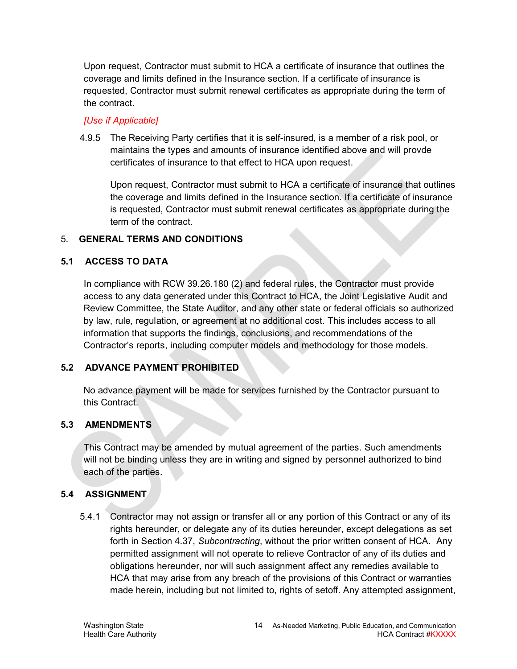Upon request, Contractor must submit to HCA a certificate of insurance that outlines the coverage and limits defined in the Insurance section. If a certificate of insurance is requested, Contractor must submit renewal certificates as appropriate during the term of the contract.

#### *[Use if Applicable]*

4.9.5 The Receiving Party certifies that it is self-insured, is a member of a risk pool, or maintains the types and amounts of insurance identified above and will provde certificates of insurance to that effect to HCA upon request.

Upon request, Contractor must submit to HCA a certificate of insurance that outlines the coverage and limits defined in the Insurance section. If a certificate of insurance is requested, Contractor must submit renewal certificates as appropriate during the term of the contract.

#### <span id="page-13-0"></span>5. **GENERAL TERMS AND CONDITIONS**

## <span id="page-13-1"></span>**5.1 ACCESS TO DATA**

In compliance with RCW 39.26.180 (2) and federal rules, the Contractor must provide access to any data generated under this Contract to HCA, the Joint Legislative Audit and Review Committee, the State Auditor, and any other state or federal officials so authorized by law, rule, regulation, or agreement at no additional cost. This includes access to all information that supports the findings, conclusions, and recommendations of the Contractor's reports, including computer models and methodology for those models.

## <span id="page-13-2"></span>**5.2 ADVANCE PAYMENT PROHIBITED**

No advance payment will be made for services furnished by the Contractor pursuant to this Contract.

## <span id="page-13-3"></span>**5.3 AMENDMENTS**

This Contract may be amended by mutual agreement of the parties. Such amendments will not be binding unless they are in writing and signed by personnel authorized to bind each of the parties.

#### <span id="page-13-4"></span>**5.4 ASSIGNMENT**

<span id="page-13-5"></span>5.4.1 Contractor may not assign or transfer all or any portion of this Contract or any of its rights hereunder, or delegate any of its duties hereunder, except delegations as set forth in Section [4.37,](#page-24-0) *Subcontracting*, without the prior written consent of HCA. Any permitted assignment will not operate to relieve Contractor of any of its duties and obligations hereunder, nor will such assignment affect any remedies available to HCA that may arise from any breach of the provisions of this Contract or warranties made herein, including but not limited to, rights of setoff. Any attempted assignment,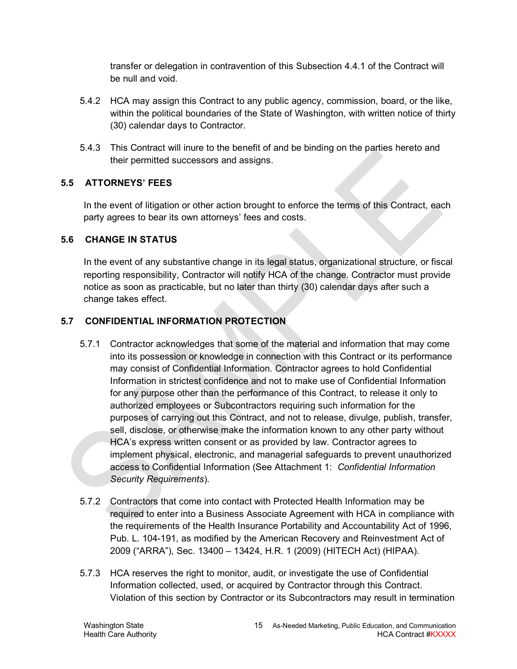transfer or delegation in contravention of this Subsection [4.4.1](#page-13-5) of the Contract will be null and void.

- 5.4.2 HCA may assign this Contract to any public agency, commission, board, or the like, within the political boundaries of the State of Washington, with written notice of thirty (30) calendar days to Contractor.
- 5.4.3 This Contract will inure to the benefit of and be binding on the parties hereto and their permitted successors and assigns.

## <span id="page-14-0"></span>**5.5 ATTORNEYS' FEES**

In the event of litigation or other action brought to enforce the terms of this Contract, each party agrees to bear its own attorneys' fees and costs.

#### <span id="page-14-1"></span>**5.6 CHANGE IN STATUS**

In the event of any substantive change in its legal status, organizational structure, or fiscal reporting responsibility, Contractor will notify HCA of the change. Contractor must provide notice as soon as practicable, but no later than thirty (30) calendar days after such a change takes effect.

## <span id="page-14-2"></span>**5.7 CONFIDENTIAL INFORMATION PROTECTION**

- 5.7.1 Contractor acknowledges that some of the material and information that may come into its possession or knowledge in connection with this Contract or its performance may consist of Confidential Information. Contractor agrees to hold Confidential Information in strictest confidence and not to make use of Confidential Information for any purpose other than the performance of this Contract, to release it only to authorized employees or Subcontractors requiring such information for the purposes of carrying out this Contract, and not to release, divulge, publish, transfer, sell, disclose, or otherwise make the information known to any other party without HCA's express written consent or as provided by law. Contractor agrees to implement physical, electronic, and managerial safeguards to prevent unauthorized access to Confidential Information (See Attachment 1: *Confidential Information Security Requirements*).
- 5.7.2 Contractors that come into contact with Protected Health Information may be required to enter into a Business Associate Agreement with HCA in compliance with the requirements of the Health Insurance Portability and Accountability Act of 1996, Pub. L. 104-191, as modified by the American Recovery and Reinvestment Act of 2009 ("ARRA"), Sec. 13400 – 13424, H.R. 1 (2009) (HITECH Act) (HIPAA).
- 5.7.3 HCA reserves the right to monitor, audit, or investigate the use of Confidential Information collected, used, or acquired by Contractor through this Contract. Violation of this section by Contractor or its Subcontractors may result in termination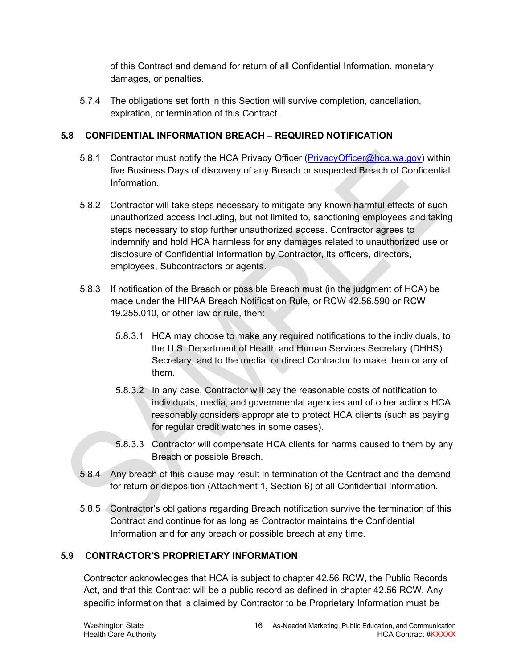of this Contract and demand for return of all Confidential Information, monetary damages, or penalties.

5.7.4 The obligations set forth in this Section will survive completion, cancellation, expiration, or termination of this Contract.

#### <span id="page-15-0"></span>**5.8 CONFIDENTIAL INFORMATION BREACH – REQUIRED NOTIFICATION**

- 5.8.1 Contractor must notify the HCA Privacy Officer [\(PrivacyOfficer@hca.wa.gov\)](mailto:PrivacyOfficer@hca.wa.gov) within five Business Days of discovery of any Breach or suspected Breach of Confidential Information.
- 5.8.2 Contractor will take steps necessary to mitigate any known harmful effects of such unauthorized access including, but not limited to, sanctioning employees and taking steps necessary to stop further unauthorized access. Contractor agrees to indemnify and hold HCA harmless for any damages related to unauthorized use or disclosure of Confidential Information by Contractor, its officers, directors, employees, Subcontractors or agents.
- 5.8.3 If notification of the Breach or possible Breach must (in the judgment of HCA) be made under the HIPAA Breach Notification Rule, or RCW 42.56.590 or RCW 19.255.010, or other law or rule, then:
	- 5.8.3.1 HCA may choose to make any required notifications to the individuals, to the U.S. Department of Health and Human Services Secretary (DHHS) Secretary, and to the media, or direct Contractor to make them or any of them.
	- 5.8.3.2 In any case, Contractor will pay the reasonable costs of notification to individuals, media, and governmental agencies and of other actions HCA reasonably considers appropriate to protect HCA clients (such as paying for regular credit watches in some cases).
	- 5.8.3.3 Contractor will compensate HCA clients for harms caused to them by any Breach or possible Breach.
- 5.8.4 Any breach of this clause may result in termination of the Contract and the demand for return or disposition (Attachment 1, Section 6) of all Confidential Information.
- 5.8.5 Contractor's obligations regarding Breach notification survive the termination of this Contract and continue for as long as Contractor maintains the Confidential Information and for any breach or possible breach at any time.

## <span id="page-15-1"></span>**5.9 CONTRACTOR'S PROPRIETARY INFORMATION**

Contractor acknowledges that HCA is subject to chapter 42.56 RCW, the Public Records Act, and that this Contract will be a public record as defined in chapter 42.56 RCW. Any specific information that is claimed by Contractor to be Proprietary Information must be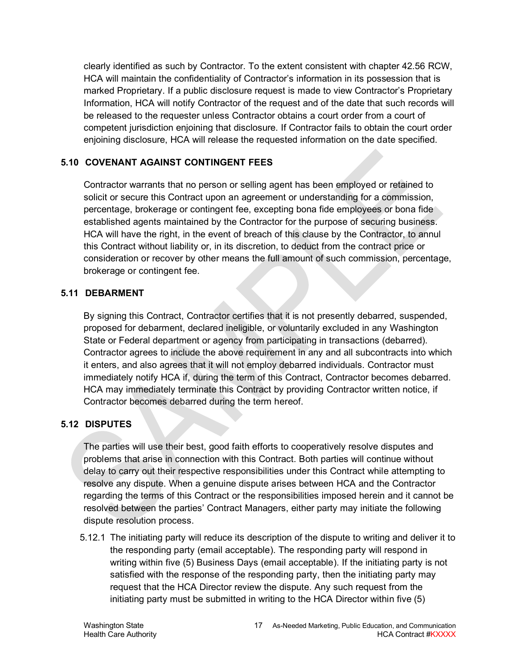clearly identified as such by Contractor. To the extent consistent with chapter 42.56 RCW, HCA will maintain the confidentiality of Contractor's information in its possession that is marked Proprietary. If a public disclosure request is made to view Contractor's Proprietary Information, HCA will notify Contractor of the request and of the date that such records will be released to the requester unless Contractor obtains a court order from a court of competent jurisdiction enjoining that disclosure. If Contractor fails to obtain the court order enjoining disclosure, HCA will release the requested information on the date specified.

## <span id="page-16-0"></span>**5.10 COVENANT AGAINST CONTINGENT FEES**

Contractor warrants that no person or selling agent has been employed or retained to solicit or secure this Contract upon an agreement or understanding for a commission, percentage, brokerage or contingent fee, excepting bona fide employees or bona fide established agents maintained by the Contractor for the purpose of securing business. HCA will have the right, in the event of breach of this clause by the Contractor, to annul this Contract without liability or, in its discretion, to deduct from the contract price or consideration or recover by other means the full amount of such commission, percentage, brokerage or contingent fee.

## <span id="page-16-1"></span>**5.11 DEBARMENT**

By signing this Contract, Contractor certifies that it is not presently debarred, suspended, proposed for debarment, declared ineligible, or voluntarily excluded in any Washington State or Federal department or agency from participating in transactions (debarred). Contractor agrees to include the above requirement in any and all subcontracts into which it enters, and also agrees that it will not employ debarred individuals. Contractor must immediately notify HCA if, during the term of this Contract, Contractor becomes debarred. HCA may immediately terminate this Contract by providing Contractor written notice, if Contractor becomes debarred during the term hereof.

## <span id="page-16-2"></span>**5.12 DISPUTES**

The parties will use their best, good faith efforts to cooperatively resolve disputes and problems that arise in connection with this Contract. Both parties will continue without delay to carry out their respective responsibilities under this Contract while attempting to resolve any dispute. When a genuine dispute arises between HCA and the Contractor regarding the terms of this Contract or the responsibilities imposed herein and it cannot be resolved between the parties' Contract Managers, either party may initiate the following dispute resolution process.

5.12.1 The initiating party will reduce its description of the dispute to writing and deliver it to the responding party (email acceptable). The responding party will respond in writing within five (5) Business Days (email acceptable). If the initiating party is not satisfied with the response of the responding party, then the initiating party may request that the HCA Director review the dispute. Any such request from the initiating party must be submitted in writing to the HCA Director within five (5)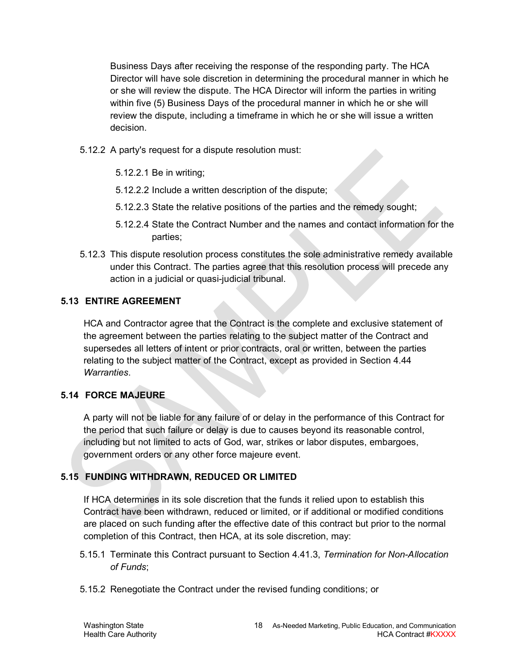Business Days after receiving the response of the responding party. The HCA Director will have sole discretion in determining the procedural manner in which he or she will review the dispute. The HCA Director will inform the parties in writing within five (5) Business Days of the procedural manner in which he or she will review the dispute, including a timeframe in which he or she will issue a written decision.

- 5.12.2 A party's request for a dispute resolution must:
	- 5.12.2.1 Be in writing;
	- 5.12.2.2 Include a written description of the dispute;
	- 5.12.2.3 State the relative positions of the parties and the remedy sought;
	- 5.12.2.4 State the Contract Number and the names and contact information for the parties;
- 5.12.3 This dispute resolution process constitutes the sole administrative remedy available under this Contract. The parties agree that this resolution process will precede any action in a judicial or quasi-judicial tribunal.

## <span id="page-17-0"></span>**5.13 ENTIRE AGREEMENT**

HCA and Contractor agree that the Contract is the complete and exclusive statement of the agreement between the parties relating to the subject matter of the Contract and supersedes all letters of intent or prior contracts, oral or written, between the parties relating to the subject matter of the Contract, except as provided in Section [4.44](#page-27-1) *Warranties*.

## <span id="page-17-1"></span>**5.14 FORCE MAJEURE**

A party will not be liable for any failure of or delay in the performance of this Contract for the period that such failure or delay is due to causes beyond its reasonable control, including but not limited to acts of God, war, strikes or labor disputes, embargoes, government orders or any other force majeure event.

## <span id="page-17-2"></span>**5.15 FUNDING WITHDRAWN, REDUCED OR LIMITED**

If HCA determines in its sole discretion that the funds it relied upon to establish this Contract have been withdrawn, reduced or limited, or if additional or modified conditions are placed on such funding after the effective date of this contract but prior to the normal completion of this Contract, then HCA, at its sole discretion, may:

- 5.15.1 Terminate this Contract pursuant to Section [4.41.3,](#page-25-1) *Termination for Non-Allocation of Funds*;
- 5.15.2 Renegotiate the Contract under the revised funding conditions; or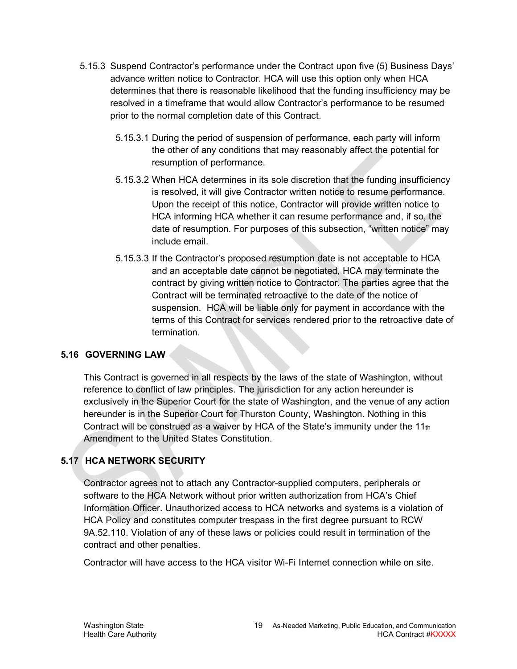- 5.15.3 Suspend Contractor's performance under the Contract upon five (5) Business Days' advance written notice to Contractor. HCA will use this option only when HCA determines that there is reasonable likelihood that the funding insufficiency may be resolved in a timeframe that would allow Contractor's performance to be resumed prior to the normal completion date of this Contract.
	- 5.15.3.1 During the period of suspension of performance, each party will inform the other of any conditions that may reasonably affect the potential for resumption of performance.
	- 5.15.3.2 When HCA determines in its sole discretion that the funding insufficiency is resolved, it will give Contractor written notice to resume performance. Upon the receipt of this notice, Contractor will provide written notice to HCA informing HCA whether it can resume performance and, if so, the date of resumption. For purposes of this subsection, "written notice" may include email.
	- 5.15.3.3 If the Contractor's proposed resumption date is not acceptable to HCA and an acceptable date cannot be negotiated, HCA may terminate the contract by giving written notice to Contractor. The parties agree that the Contract will be terminated retroactive to the date of the notice of suspension. HCA will be liable only for payment in accordance with the terms of this Contract for services rendered prior to the retroactive date of termination.

## <span id="page-18-0"></span>**5.16 GOVERNING LAW**

This Contract is governed in all respects by the laws of the state of Washington, without reference to conflict of law principles. The jurisdiction for any action hereunder is exclusively in the Superior Court for the state of Washington, and the venue of any action hereunder is in the Superior Court for Thurston County, Washington. Nothing in this Contract will be construed as a waiver by HCA of the State's immunity under the  $11<sub>th</sub>$ Amendment to the United States Constitution.

## <span id="page-18-1"></span>**5.17 HCA NETWORK SECURITY**

Contractor agrees not to attach any Contractor-supplied computers, peripherals or software to the HCA Network without prior written authorization from HCA's Chief Information Officer. Unauthorized access to HCA networks and systems is a violation of HCA Policy and constitutes computer trespass in the first degree pursuant to RCW 9A.52.110. Violation of any of these laws or policies could result in termination of the contract and other penalties.

Contractor will have access to the HCA visitor Wi-Fi Internet connection while on site.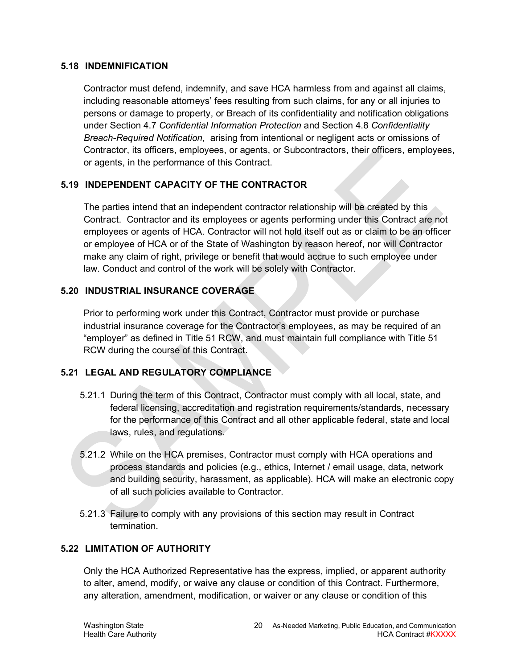#### <span id="page-19-0"></span>**5.18 INDEMNIFICATION**

Contractor must defend, indemnify, and save HCA harmless from and against all claims, including reasonable attorneys' fees resulting from such claims, for any or all injuries to persons or damage to property, or Breach of its confidentiality and notification obligations under Section [4.7](#page-14-2) *Confidential Information Protection* and Section [4.8](#page-15-0) *Confidentiality Breach-Required Notification*, arising from intentional or negligent acts or omissions of Contractor, its officers, employees, or agents, or Subcontractors, their officers, employees, or agents, in the performance of this Contract.

#### <span id="page-19-1"></span>**5.19 INDEPENDENT CAPACITY OF THE CONTRACTOR**

The parties intend that an independent contractor relationship will be created by this Contract. Contractor and its employees or agents performing under this Contract are not employees or agents of HCA. Contractor will not hold itself out as or claim to be an officer or employee of HCA or of the State of Washington by reason hereof, nor will Contractor make any claim of right, privilege or benefit that would accrue to such employee under law. Conduct and control of the work will be solely with Contractor.

#### <span id="page-19-2"></span>**5.20 INDUSTRIAL INSURANCE COVERAGE**

Prior to performing work under this Contract, Contractor must provide or purchase industrial insurance coverage for the Contractor's employees, as may be required of an "employer" as defined in Title 51 RCW, and must maintain full compliance with Title 51 RCW during the course of this Contract.

## <span id="page-19-3"></span>**5.21 LEGAL AND REGULATORY COMPLIANCE**

- 5.21.1 During the term of this Contract, Contractor must comply with all local, state, and federal licensing, accreditation and registration requirements/standards, necessary for the performance of this Contract and all other applicable federal, state and local laws, rules, and regulations.
- 5.21.2 While on the HCA premises, Contractor must comply with HCA operations and process standards and policies (e.g., ethics, Internet / email usage, data, network and building security, harassment, as applicable). HCA will make an electronic copy of all such policies available to Contractor.
- 5.21.3 Failure to comply with any provisions of this section may result in Contract termination.

#### <span id="page-19-4"></span>**5.22 LIMITATION OF AUTHORITY**

Only the HCA Authorized Representative has the express, implied, or apparent authority to alter, amend, modify, or waive any clause or condition of this Contract. Furthermore, any alteration, amendment, modification, or waiver or any clause or condition of this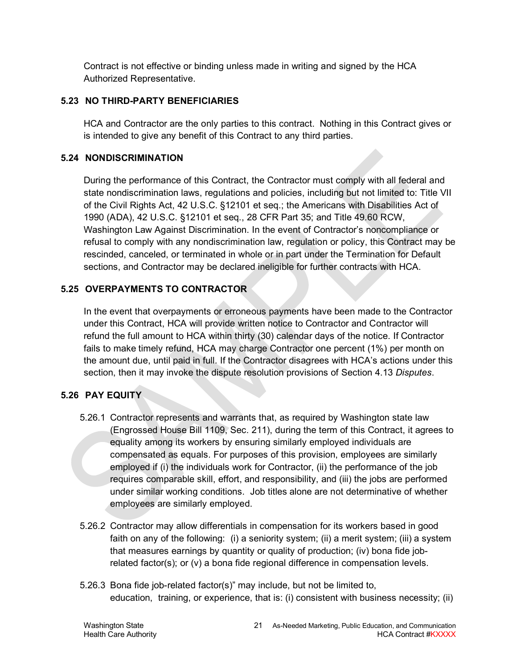Contract is not effective or binding unless made in writing and signed by the HCA Authorized Representative.

#### <span id="page-20-0"></span>**5.23 NO THIRD-PARTY BENEFICIARIES**

HCA and Contractor are the only parties to this contract. Nothing in this Contract gives or is intended to give any benefit of this Contract to any third parties.

#### <span id="page-20-1"></span>**5.24 NONDISCRIMINATION**

During the performance of this Contract, the Contractor must comply with all federal and state nondiscrimination laws, regulations and policies, including but not limited to: Title VII of the Civil Rights Act, 42 U.S.C. §12101 et seq.; the Americans with Disabilities Act of 1990 (ADA), 42 U.S.C. §12101 et seq., 28 CFR Part 35; and Title 49.60 RCW, Washington Law Against Discrimination. In the event of Contractor's noncompliance or refusal to comply with any nondiscrimination law, regulation or policy, this Contract may be rescinded, canceled, or terminated in whole or in part under the Termination for Default sections, and Contractor may be declared ineligible for further contracts with HCA.

## <span id="page-20-2"></span>**5.25 OVERPAYMENTS TO CONTRACTOR**

In the event that overpayments or erroneous payments have been made to the Contractor under this Contract, HCA will provide written notice to Contractor and Contractor will refund the full amount to HCA within thirty (30) calendar days of the notice. If Contractor fails to make timely refund, HCA may charge Contractor one percent (1%) per month on the amount due, until paid in full. If the Contractor disagrees with HCA's actions under this section, then it may invoke the dispute resolution provisions of Section [4.13](#page-16-2) *Disputes*.

## <span id="page-20-3"></span>**5.26 PAY EQUITY**

- 5.26.1 Contractor represents and warrants that, as required by Washington state law (Engrossed House Bill 1109, Sec. 211), during the term of this Contract, it agrees to equality among its workers by ensuring similarly employed individuals are compensated as equals. For purposes of this provision, employees are similarly employed if (i) the individuals work for Contractor, (ii) the performance of the job requires comparable skill, effort, and responsibility, and (iii) the jobs are performed under similar working conditions. Job titles alone are not determinative of whether employees are similarly employed.
- 5.26.2 Contractor may allow differentials in compensation for its workers based in good faith on any of the following: (i) a seniority system; (ii) a merit system; (iii) a system that measures earnings by quantity or quality of production; (iv) bona fide jobrelated factor(s); or (v) a bona fide regional difference in compensation levels.
- 5.26.3 Bona fide job-related factor(s)" may include, but not be limited to, education, training, or experience, that is: (i) consistent with business necessity; (ii)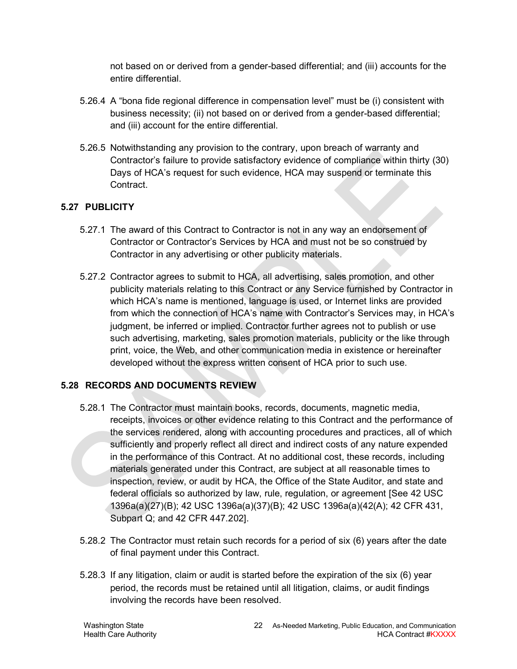not based on or derived from a gender-based differential; and (iii) accounts for the entire differential.

- 5.26.4 A "bona fide regional difference in compensation level" must be (i) consistent with business necessity; (ii) not based on or derived from a gender-based differential; and (iii) account for the entire differential.
- 5.26.5 Notwithstanding any provision to the contrary, upon breach of warranty and Contractor's failure to provide satisfactory evidence of compliance within thirty (30) Days of HCA's request for such evidence, HCA may suspend or terminate this Contract.

## <span id="page-21-0"></span>**5.27 PUBLICITY**

- 5.27.1 The award of this Contract to Contractor is not in any way an endorsement of Contractor or Contractor's Services by HCA and must not be so construed by Contractor in any advertising or other publicity materials.
- 5.27.2 Contractor agrees to submit to HCA, all advertising, sales promotion, and other publicity materials relating to this Contract or any Service furnished by Contractor in which HCA's name is mentioned, language is used, or Internet links are provided from which the connection of HCA's name with Contractor's Services may, in HCA's judgment, be inferred or implied. Contractor further agrees not to publish or use such advertising, marketing, sales promotion materials, publicity or the like through print, voice, the Web, and other communication media in existence or hereinafter developed without the express written consent of HCA prior to such use.

## <span id="page-21-1"></span>**5.28 RECORDS AND DOCUMENTS REVIEW**

- 5.28.1 The Contractor must maintain books, records, documents, magnetic media, receipts, invoices or other evidence relating to this Contract and the performance of the services rendered, along with accounting procedures and practices, all of which sufficiently and properly reflect all direct and indirect costs of any nature expended in the performance of this Contract. At no additional cost, these records, including materials generated under this Contract, are subject at all reasonable times to inspection, review, or audit by HCA, the Office of the State Auditor, and state and federal officials so authorized by law, rule, regulation, or agreement [See 42 USC 1396a(a)(27)(B); 42 USC 1396a(a)(37)(B); 42 USC 1396a(a)(42(A); 42 CFR 431, Subpart Q; and 42 CFR 447.202].
- 5.28.2 The Contractor must retain such records for a period of six (6) years after the date of final payment under this Contract.
- 5.28.3 If any litigation, claim or audit is started before the expiration of the six (6) year period, the records must be retained until all litigation, claims, or audit findings involving the records have been resolved.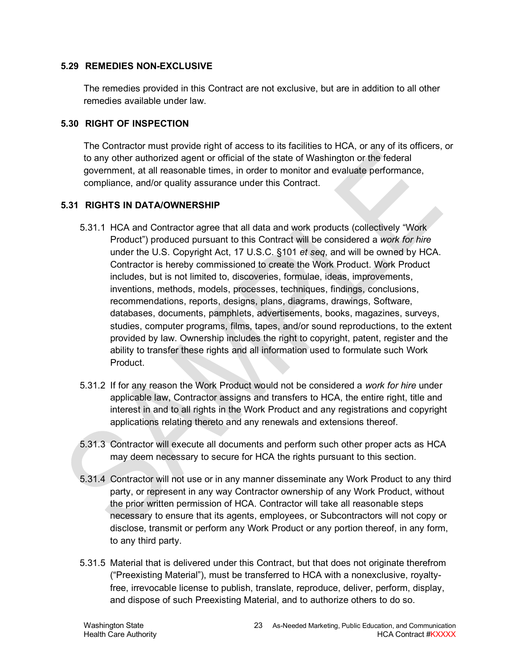#### <span id="page-22-0"></span>**5.29 REMEDIES NON-EXCLUSIVE**

The remedies provided in this Contract are not exclusive, but are in addition to all other remedies available under law.

#### <span id="page-22-1"></span>**5.30 RIGHT OF INSPECTION**

The Contractor must provide right of access to its facilities to HCA, or any of its officers, or to any other authorized agent or official of the state of Washington or the federal government, at all reasonable times, in order to monitor and evaluate performance, compliance, and/or quality assurance under this Contract.

#### <span id="page-22-2"></span>**5.31 RIGHTS IN DATA/OWNERSHIP**

- 5.31.1 HCA and Contractor agree that all data and work products (collectively "Work Product") produced pursuant to this Contract will be considered a *work for hire* under the U.S. Copyright Act, 17 U.S.C. §101 *et seq*, and will be owned by HCA. Contractor is hereby commissioned to create the Work Product. Work Product includes, but is not limited to, discoveries, formulae, ideas, improvements, inventions, methods, models, processes, techniques, findings, conclusions, recommendations, reports, designs, plans, diagrams, drawings, Software, databases, documents, pamphlets, advertisements, books, magazines, surveys, studies, computer programs, films, tapes, and/or sound reproductions, to the extent provided by law. Ownership includes the right to copyright, patent, register and the ability to transfer these rights and all information used to formulate such Work Product.
- 5.31.2 If for any reason the Work Product would not be considered a *work for hire* under applicable law, Contractor assigns and transfers to HCA, the entire right, title and interest in and to all rights in the Work Product and any registrations and copyright applications relating thereto and any renewals and extensions thereof.
- 5.31.3 Contractor will execute all documents and perform such other proper acts as HCA may deem necessary to secure for HCA the rights pursuant to this section.
- 5.31.4 Contractor will not use or in any manner disseminate any Work Product to any third party, or represent in any way Contractor ownership of any Work Product, without the prior written permission of HCA. Contractor will take all reasonable steps necessary to ensure that its agents, employees, or Subcontractors will not copy or disclose, transmit or perform any Work Product or any portion thereof, in any form, to any third party.
- 5.31.5 Material that is delivered under this Contract, but that does not originate therefrom ("Preexisting Material"), must be transferred to HCA with a nonexclusive, royaltyfree, irrevocable license to publish, translate, reproduce, deliver, perform, display, and dispose of such Preexisting Material, and to authorize others to do so.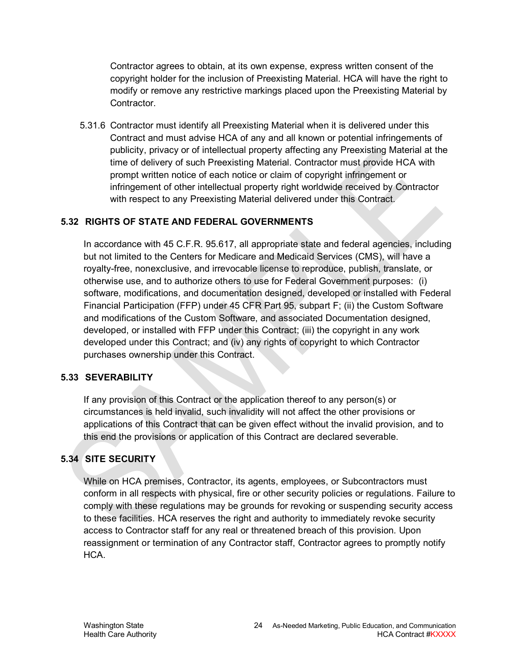Contractor agrees to obtain, at its own expense, express written consent of the copyright holder for the inclusion of Preexisting Material. HCA will have the right to modify or remove any restrictive markings placed upon the Preexisting Material by Contractor.

5.31.6 Contractor must identify all Preexisting Material when it is delivered under this Contract and must advise HCA of any and all known or potential infringements of publicity, privacy or of intellectual property affecting any Preexisting Material at the time of delivery of such Preexisting Material. Contractor must provide HCA with prompt written notice of each notice or claim of copyright infringement or infringement of other intellectual property right worldwide received by Contractor with respect to any Preexisting Material delivered under this Contract.

## <span id="page-23-0"></span>**5.32 RIGHTS OF STATE AND FEDERAL GOVERNMENTS**

In accordance with 45 C.F.R. 95.617, all appropriate state and federal agencies, including but not limited to the Centers for Medicare and Medicaid Services (CMS), will have a royalty-free, nonexclusive, and irrevocable license to reproduce, publish, translate, or otherwise use, and to authorize others to use for Federal Government purposes: (i) software, modifications, and documentation designed, developed or installed with Federal Financial Participation (FFP) under 45 CFR Part 95, subpart F; (ii) the Custom Software and modifications of the Custom Software, and associated Documentation designed, developed, or installed with FFP under this Contract; (iii) the copyright in any work developed under this Contract; and (iv) any rights of copyright to which Contractor purchases ownership under this Contract.

## <span id="page-23-1"></span>**5.33 SEVERABILITY**

If any provision of this Contract or the application thereof to any person(s) or circumstances is held invalid, such invalidity will not affect the other provisions or applications of this Contract that can be given effect without the invalid provision, and to this end the provisions or application of this Contract are declared severable.

## <span id="page-23-2"></span>**5.34 SITE SECURITY**

While on HCA premises, Contractor, its agents, employees, or Subcontractors must conform in all respects with physical, fire or other security policies or regulations. Failure to comply with these regulations may be grounds for revoking or suspending security access to these facilities. HCA reserves the right and authority to immediately revoke security access to Contractor staff for any real or threatened breach of this provision. Upon reassignment or termination of any Contractor staff, Contractor agrees to promptly notify HCA.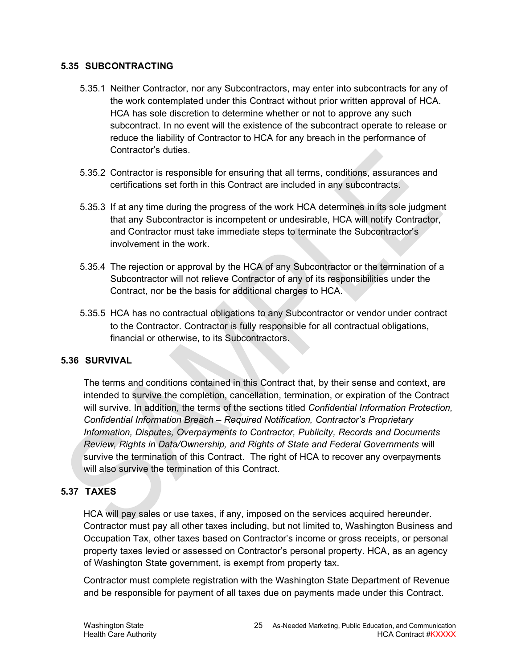#### <span id="page-24-0"></span>**5.35 SUBCONTRACTING**

- 5.35.1 Neither Contractor, nor any Subcontractors, may enter into subcontracts for any of the work contemplated under this Contract without prior written approval of HCA. HCA has sole discretion to determine whether or not to approve any such subcontract. In no event will the existence of the subcontract operate to release or reduce the liability of Contractor to HCA for any breach in the performance of Contractor's duties.
- 5.35.2 Contractor is responsible for ensuring that all terms, conditions, assurances and certifications set forth in this Contract are included in any subcontracts.
- 5.35.3 If at any time during the progress of the work HCA determines in its sole judgment that any Subcontractor is incompetent or undesirable, HCA will notify Contractor, and Contractor must take immediate steps to terminate the Subcontractor's involvement in the work.
- 5.35.4 The rejection or approval by the HCA of any Subcontractor or the termination of a Subcontractor will not relieve Contractor of any of its responsibilities under the Contract, nor be the basis for additional charges to HCA.
- 5.35.5 HCA has no contractual obligations to any Subcontractor or vendor under contract to the Contractor. Contractor is fully responsible for all contractual obligations, financial or otherwise, to its Subcontractors.

#### <span id="page-24-1"></span>**5.36 SURVIVAL**

The terms and conditions contained in this Contract that, by their sense and context, are intended to survive the completion, cancellation, termination, or expiration of the Contract will survive. In addition, the terms of the sections titled *Confidential Information Protection, Confidential Information Breach – Required Notification, Contractor's Proprietary Information, Disputes, Overpayments to Contractor, Publicity, Records and Documents Review, Rights in Data/Ownership, and Rights of State and Federal Governments* will survive the termination of this Contract. The right of HCA to recover any overpayments will also survive the termination of this Contract.

#### <span id="page-24-2"></span>**5.37 TAXES**

HCA will pay sales or use taxes, if any, imposed on the services acquired hereunder. Contractor must pay all other taxes including, but not limited to, Washington Business and Occupation Tax, other taxes based on Contractor's income or gross receipts, or personal property taxes levied or assessed on Contractor's personal property. HCA, as an agency of Washington State government, is exempt from property tax.

Contractor must complete registration with the Washington State Department of Revenue and be responsible for payment of all taxes due on payments made under this Contract.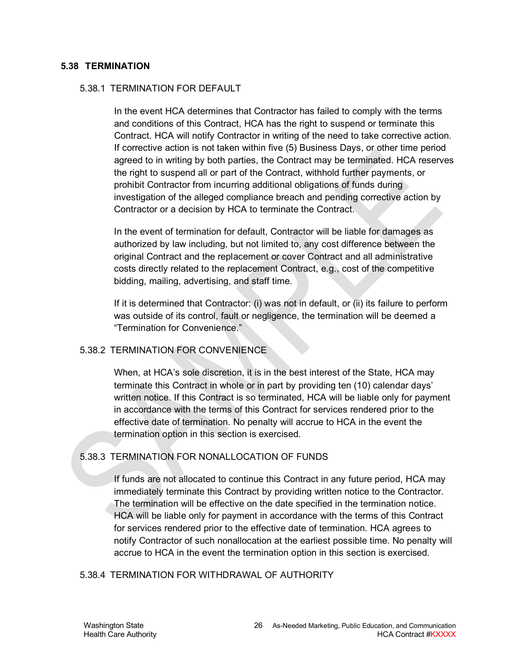#### <span id="page-25-0"></span>**5.38 TERMINATION**

#### 5.38.1 TERMINATION FOR DEFAULT

In the event HCA determines that Contractor has failed to comply with the terms and conditions of this Contract, HCA has the right to suspend or terminate this Contract. HCA will notify Contractor in writing of the need to take corrective action. If corrective action is not taken within five (5) Business Days, or other time period agreed to in writing by both parties, the Contract may be terminated. HCA reserves the right to suspend all or part of the Contract, withhold further payments, or prohibit Contractor from incurring additional obligations of funds during investigation of the alleged compliance breach and pending corrective action by Contractor or a decision by HCA to terminate the Contract.

In the event of termination for default, Contractor will be liable for damages as authorized by law including, but not limited to, any cost difference between the original Contract and the replacement or cover Contract and all administrative costs directly related to the replacement Contract, e.g., cost of the competitive bidding, mailing, advertising, and staff time.

If it is determined that Contractor: (i) was not in default, or (ii) its failure to perform was outside of its control, fault or negligence, the termination will be deemed a "Termination for Convenience."

#### 5.38.2 TERMINATION FOR CONVENIENCE

When, at HCA's sole discretion, it is in the best interest of the State, HCA may terminate this Contract in whole or in part by providing ten (10) calendar days' written notice. If this Contract is so terminated, HCA will be liable only for payment in accordance with the terms of this Contract for services rendered prior to the effective date of termination. No penalty will accrue to HCA in the event the termination option in this section is exercised.

## <span id="page-25-1"></span>5.38.3 TERMINATION FOR NONALLOCATION OF FUNDS

If funds are not allocated to continue this Contract in any future period, HCA may immediately terminate this Contract by providing written notice to the Contractor. The termination will be effective on the date specified in the termination notice. HCA will be liable only for payment in accordance with the terms of this Contract for services rendered prior to the effective date of termination. HCA agrees to notify Contractor of such nonallocation at the earliest possible time. No penalty will accrue to HCA in the event the termination option in this section is exercised.

#### 5.38.4 TERMINATION FOR WITHDRAWAL OF AUTHORITY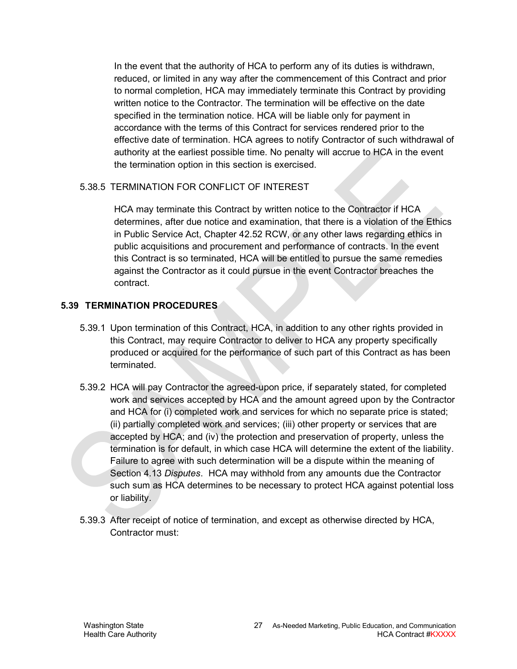In the event that the authority of HCA to perform any of its duties is withdrawn, reduced, or limited in any way after the commencement of this Contract and prior to normal completion, HCA may immediately terminate this Contract by providing written notice to the Contractor. The termination will be effective on the date specified in the termination notice. HCA will be liable only for payment in accordance with the terms of this Contract for services rendered prior to the effective date of termination. HCA agrees to notify Contractor of such withdrawal of authority at the earliest possible time. No penalty will accrue to HCA in the event the termination option in this section is exercised.

#### 5.38.5 TERMINATION FOR CONFLICT OF INTEREST

HCA may terminate this Contract by written notice to the Contractor if HCA determines, after due notice and examination, that there is a violation of the Ethics in Public Service Act, Chapter 42.52 RCW, or any other laws regarding ethics in public acquisitions and procurement and performance of contracts. In the event this Contract is so terminated, HCA will be entitled to pursue the same remedies against the Contractor as it could pursue in the event Contractor breaches the contract.

#### <span id="page-26-0"></span>**5.39 TERMINATION PROCEDURES**

- 5.39.1 Upon termination of this Contract, HCA, in addition to any other rights provided in this Contract, may require Contractor to deliver to HCA any property specifically produced or acquired for the performance of such part of this Contract as has been terminated.
- 5.39.2 HCA will pay Contractor the agreed-upon price, if separately stated, for completed work and services accepted by HCA and the amount agreed upon by the Contractor and HCA for (i) completed work and services for which no separate price is stated; (ii) partially completed work and services; (iii) other property or services that are accepted by HCA; and (iv) the protection and preservation of property, unless the termination is for default, in which case HCA will determine the extent of the liability. Failure to agree with such determination will be a dispute within the meaning of Section [4.13](#page-16-2) *Disputes*. HCA may withhold from any amounts due the Contractor such sum as HCA determines to be necessary to protect HCA against potential loss or liability.
- 5.39.3 After receipt of notice of termination, and except as otherwise directed by HCA, Contractor must: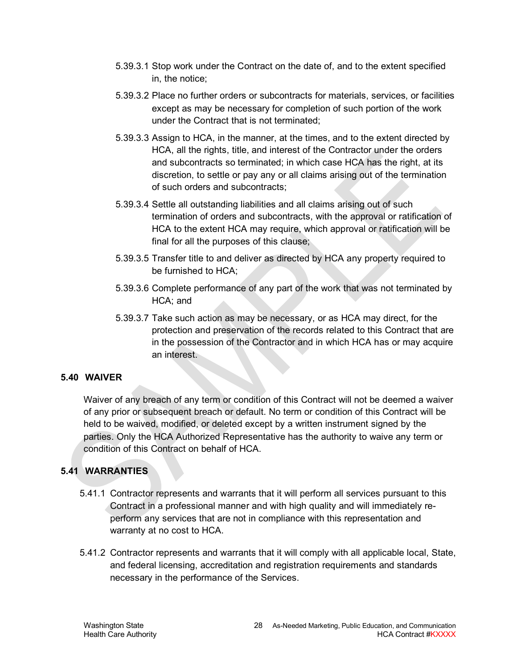- 5.39.3.1 Stop work under the Contract on the date of, and to the extent specified in, the notice;
- 5.39.3.2 Place no further orders or subcontracts for materials, services, or facilities except as may be necessary for completion of such portion of the work under the Contract that is not terminated;
- 5.39.3.3 Assign to HCA, in the manner, at the times, and to the extent directed by HCA, all the rights, title, and interest of the Contractor under the orders and subcontracts so terminated; in which case HCA has the right, at its discretion, to settle or pay any or all claims arising out of the termination of such orders and subcontracts;
- 5.39.3.4 Settle all outstanding liabilities and all claims arising out of such termination of orders and subcontracts, with the approval or ratification of HCA to the extent HCA may require, which approval or ratification will be final for all the purposes of this clause;
- 5.39.3.5 Transfer title to and deliver as directed by HCA any property required to be furnished to HCA;
- 5.39.3.6 Complete performance of any part of the work that was not terminated by HCA; and
- 5.39.3.7 Take such action as may be necessary, or as HCA may direct, for the protection and preservation of the records related to this Contract that are in the possession of the Contractor and in which HCA has or may acquire an interest.

## <span id="page-27-0"></span>**5.40 WAIVER**

Waiver of any breach of any term or condition of this Contract will not be deemed a waiver of any prior or subsequent breach or default. No term or condition of this Contract will be held to be waived, modified, or deleted except by a written instrument signed by the parties. Only the HCA Authorized Representative has the authority to waive any term or condition of this Contract on behalf of HCA.

## <span id="page-27-1"></span>**5.41 WARRANTIES**

- 5.41.1 Contractor represents and warrants that it will perform all services pursuant to this Contract in a professional manner and with high quality and will immediately reperform any services that are not in compliance with this representation and warranty at no cost to HCA.
- 5.41.2 Contractor represents and warrants that it will comply with all applicable local, State, and federal licensing, accreditation and registration requirements and standards necessary in the performance of the Services.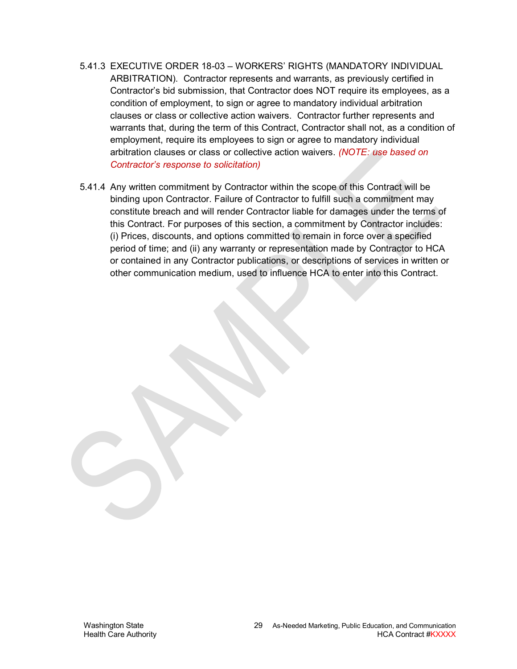- 5.41.3 EXECUTIVE ORDER 18-03 WORKERS' RIGHTS (MANDATORY INDIVIDUAL ARBITRATION). Contractor represents and warrants, as previously certified in Contractor's bid submission, that Contractor does NOT require its employees, as a condition of employment, to sign or agree to mandatory individual arbitration clauses or class or collective action waivers. Contractor further represents and warrants that, during the term of this Contract, Contractor shall not, as a condition of employment, require its employees to sign or agree to mandatory individual arbitration clauses or class or collective action waivers. *(NOTE: use based on Contractor's response to solicitation)*
- 5.41.4 Any written commitment by Contractor within the scope of this Contract will be binding upon Contractor. Failure of Contractor to fulfill such a commitment may constitute breach and will render Contractor liable for damages under the terms of this Contract. For purposes of this section, a commitment by Contractor includes: (i) Prices, discounts, and options committed to remain in force over a specified period of time; and (ii) any warranty or representation made by Contractor to HCA or contained in any Contractor publications, or descriptions of services in written or other communication medium, used to influence HCA to enter into this Contract.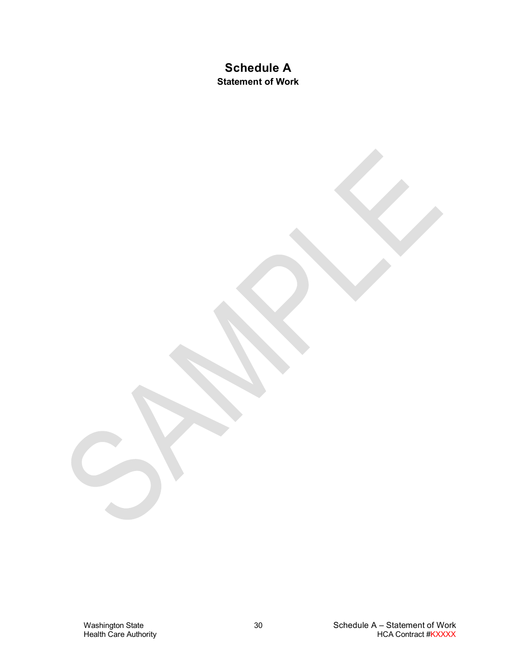## **Schedule A Statement of Work**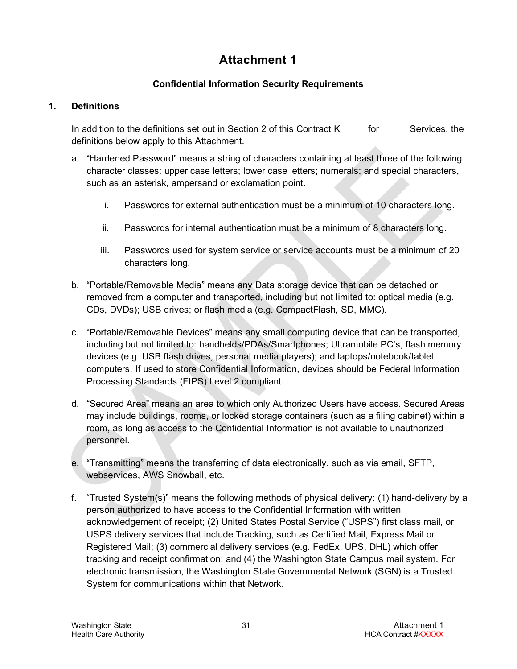# **Attachment 1**

## **Confidential Information Security Requirements**

#### **1. Definitions**

In addition to the definitions set out in Section [2](#page-4-2) of this Contract  $K$  for Services, the definitions below apply to this Attachment.

- a. "Hardened Password" means a string of characters containing at least three of the following character classes: upper case letters; lower case letters; numerals; and special characters, such as an asterisk, ampersand or exclamation point.
	- i. Passwords for external authentication must be a minimum of 10 characters long.
	- ii. Passwords for internal authentication must be a minimum of 8 characters long.
	- iii. Passwords used for system service or service accounts must be a minimum of 20 characters long.
- b. "Portable/Removable Media" means any Data storage device that can be detached or removed from a computer and transported, including but not limited to: optical media (e.g. CDs, DVDs); USB drives; or flash media (e.g. CompactFlash, SD, MMC).
- c. "Portable/Removable Devices" means any small computing device that can be transported, including but not limited to: handhelds/PDAs/Smartphones; Ultramobile PC's, flash memory devices (e.g. USB flash drives, personal media players); and laptops/notebook/tablet computers. If used to store Confidential Information, devices should be Federal Information Processing Standards (FIPS) Level 2 compliant.
- d. "Secured Area" means an area to which only Authorized Users have access. Secured Areas may include buildings, rooms, or locked storage containers (such as a filing cabinet) within a room, as long as access to the Confidential Information is not available to unauthorized personnel.
- e. "Transmitting" means the transferring of data electronically, such as via email, SFTP, webservices, AWS Snowball, etc.
- f. "Trusted System(s)" means the following methods of physical delivery: (1) hand-delivery by a person authorized to have access to the Confidential Information with written acknowledgement of receipt; (2) United States Postal Service ("USPS") first class mail, or USPS delivery services that include Tracking, such as Certified Mail, Express Mail or Registered Mail; (3) commercial delivery services (e.g. FedEx, UPS, DHL) which offer tracking and receipt confirmation; and (4) the Washington State Campus mail system. For electronic transmission, the Washington State Governmental Network (SGN) is a Trusted System for communications within that Network.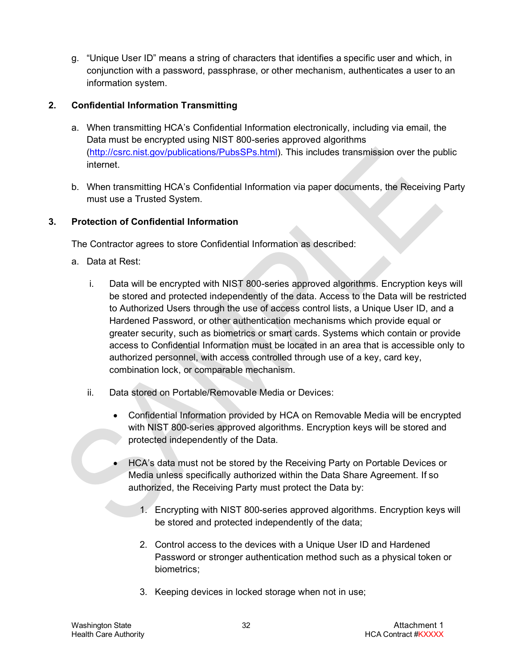g. "Unique User ID" means a string of characters that identifies a specific user and which, in conjunction with a password, passphrase, or other mechanism, authenticates a user to an information system.

## **2. Confidential Information Transmitting**

- a. When transmitting HCA's Confidential Information electronically, including via email, the Data must be encrypted using NIST 800-series approved algorithms [\(http://csrc.nist.gov/publications/PubsSPs.html\)](http://csrc.nist.gov/publications/PubsSPs.html). This includes transmission over the public internet.
- b. When transmitting HCA's Confidential Information via paper documents, the Receiving Party must use a Trusted System.

## <span id="page-31-0"></span>**3. Protection of Confidential Information**

The Contractor agrees to store Confidential Information as described:

- a. Data at Rest:
	- i. Data will be encrypted with NIST 800-series approved algorithms. Encryption keys will be stored and protected independently of the data. Access to the Data will be restricted to Authorized Users through the use of access control lists, a Unique User ID, and a Hardened Password, or other authentication mechanisms which provide equal or greater security, such as biometrics or smart cards. Systems which contain or provide access to Confidential Information must be located in an area that is accessible only to authorized personnel, with access controlled through use of a key, card key, combination lock, or comparable mechanism.
	- ii. Data stored on Portable/Removable Media or Devices:
		- Confidential Information provided by HCA on Removable Media will be encrypted with NIST 800-series approved algorithms. Encryption keys will be stored and protected independently of the Data.
		- HCA's data must not be stored by the Receiving Party on Portable Devices or Media unless specifically authorized within the Data Share Agreement. If so authorized, the Receiving Party must protect the Data by:
			- 1. Encrypting with NIST 800-series approved algorithms. Encryption keys will be stored and protected independently of the data;
			- 2. Control access to the devices with a Unique User ID and Hardened Password or stronger authentication method such as a physical token or biometrics;
			- 3. Keeping devices in locked storage when not in use;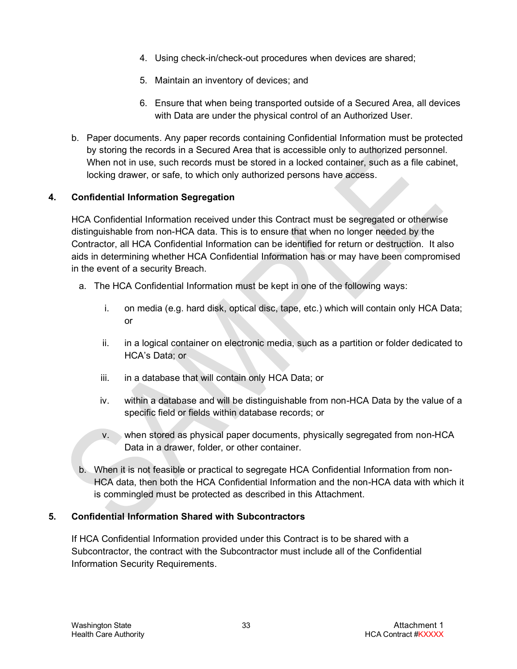- 4. Using check-in/check-out procedures when devices are shared;
- 5. Maintain an inventory of devices; and
- 6. Ensure that when being transported outside of a Secured Area, all devices with Data are under the physical control of an Authorized User.
- b. Paper documents. Any paper records containing Confidential Information must be protected by storing the records in a Secured Area that is accessible only to authorized personnel. When not in use, such records must be stored in a locked container, such as a file cabinet, locking drawer, or safe, to which only authorized persons have access.

## **4. Confidential Information Segregation**

HCA Confidential Information received under this Contract must be segregated or otherwise distinguishable from non-HCA data. This is to ensure that when no longer needed by the Contractor, all HCA Confidential Information can be identified for return or destruction. It also aids in determining whether HCA Confidential Information has or may have been compromised in the event of a security Breach.

- a. The HCA Confidential Information must be kept in one of the following ways:
	- i. on media (e.g. hard disk, optical disc, tape, etc.) which will contain only HCA Data; or
	- ii. in a logical container on electronic media, such as a partition or folder dedicated to HCA's Data; or
	- iii. in a database that will contain only HCA Data; or
	- iv. within a database and will be distinguishable from non-HCA Data by the value of a specific field or fields within database records; or
	- v. when stored as physical paper documents, physically segregated from non-HCA Data in a drawer, folder, or other container.
- b. When it is not feasible or practical to segregate HCA Confidential Information from non-HCA data, then both the HCA Confidential Information and the non-HCA data with which it is commingled must be protected as described in this Attachment.

## **5. Confidential Information Shared with Subcontractors**

If HCA Confidential Information provided under this Contract is to be shared with a Subcontractor, the contract with the Subcontractor must include all of the Confidential Information Security Requirements.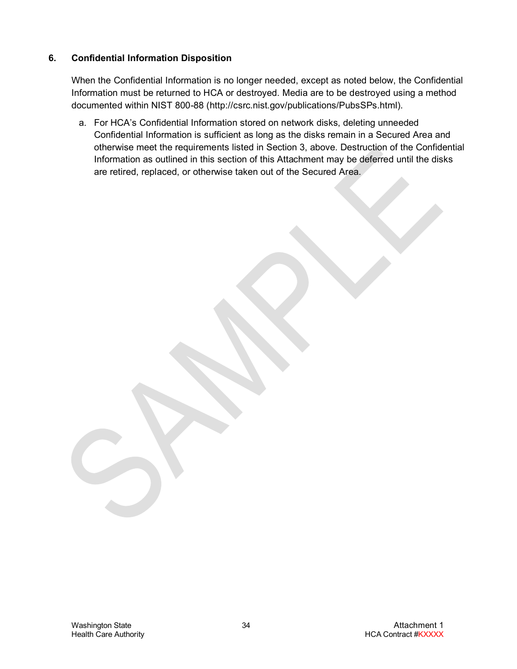#### **6. Confidential Information Disposition**

When the Confidential Information is no longer needed, except as noted below, the Confidential Information must be returned to HCA or destroyed. Media are to be destroyed using a method documented within NIST 800-88 [\(http://csrc.nist.gov/publications/PubsSPs.html\)](http://csrc.nist.gov/publications/PubsSPs.html).

a. For HCA's Confidential Information stored on network disks, deleting unneeded Confidential Information is sufficient as long as the disks remain in a Secured Area and otherwise meet the requirements listed in Section [3,](#page-31-0) above. Destruction of the Confidential Information as outlined in this section of this Attachment may be deferred until the disks are retired, replaced, or otherwise taken out of the Secured Area.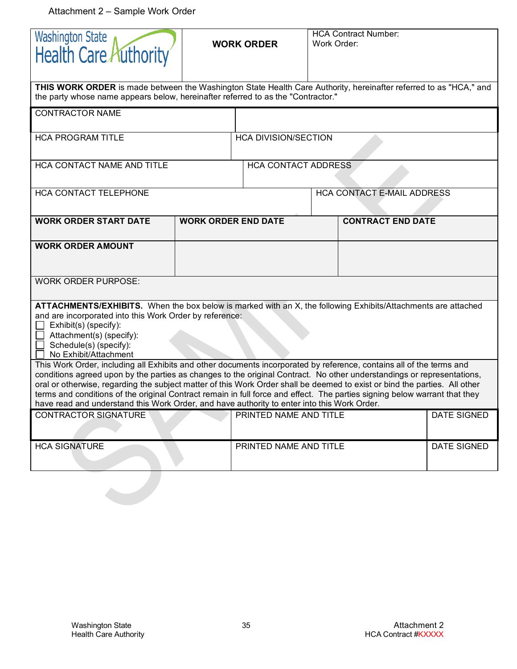Attachment 2 – Sample Work Order

| Washington State<br>Health Care Authority                                                                                                                                                                                                                                                                                                                                                                                                                                         | <b>WORK ORDER</b>          |                             | <b>HCA Contract Number:</b><br>Work Order: |                                   |             |  |
|-----------------------------------------------------------------------------------------------------------------------------------------------------------------------------------------------------------------------------------------------------------------------------------------------------------------------------------------------------------------------------------------------------------------------------------------------------------------------------------|----------------------------|-----------------------------|--------------------------------------------|-----------------------------------|-------------|--|
| THIS WORK ORDER is made between the Washington State Health Care Authority, hereinafter referred to as "HCA," and<br>the party whose name appears below, hereinafter referred to as the "Contractor."                                                                                                                                                                                                                                                                             |                            |                             |                                            |                                   |             |  |
| <b>CONTRACTOR NAME</b>                                                                                                                                                                                                                                                                                                                                                                                                                                                            |                            |                             |                                            |                                   |             |  |
| <b>HCA PROGRAM TITLE</b>                                                                                                                                                                                                                                                                                                                                                                                                                                                          |                            | <b>HCA DIVISION/SECTION</b> |                                            |                                   |             |  |
| HCA CONTACT NAME AND TITLE                                                                                                                                                                                                                                                                                                                                                                                                                                                        |                            | <b>HCA CONTACT ADDRESS</b>  |                                            |                                   |             |  |
| HCA CONTACT TELEPHONE                                                                                                                                                                                                                                                                                                                                                                                                                                                             |                            |                             |                                            | <b>HCA CONTACT E-MAIL ADDRESS</b> |             |  |
| <b>WORK ORDER START DATE</b>                                                                                                                                                                                                                                                                                                                                                                                                                                                      | <b>WORK ORDER END DATE</b> |                             |                                            | <b>CONTRACT END DATE</b>          |             |  |
| <b>WORK ORDER AMOUNT</b>                                                                                                                                                                                                                                                                                                                                                                                                                                                          |                            |                             |                                            |                                   |             |  |
| <b>WORK ORDER PURPOSE:</b>                                                                                                                                                                                                                                                                                                                                                                                                                                                        |                            |                             |                                            |                                   |             |  |
| ATTACHMENTS/EXHIBITS. When the box below is marked with an X, the following Exhibits/Attachments are attached<br>and are incorporated into this Work Order by reference:<br>Exhibit(s) (specify):<br>Attachment(s) (specify):<br>Schedule(s) (specify):<br>No Exhibit/Attachment<br>This Work Order, including all Exhibits and other documents incorporated by reference, contains all of the terms and                                                                          |                            |                             |                                            |                                   |             |  |
| conditions agreed upon by the parties as changes to the original Contract. No other understandings or representations,<br>oral or otherwise, regarding the subject matter of this Work Order shall be deemed to exist or bind the parties. All other<br>terms and conditions of the original Contract remain in full force and effect. The parties signing below warrant that they<br>have read and understand this Work Order, and have authority to enter into this Work Order. |                            |                             |                                            |                                   |             |  |
| <b>CONTRACTOR SIGNATURE</b>                                                                                                                                                                                                                                                                                                                                                                                                                                                       |                            | PRINTED NAME AND TITLE      |                                            |                                   | DATE SIGNED |  |
| <b>HCA SIGNATURE</b>                                                                                                                                                                                                                                                                                                                                                                                                                                                              |                            | PRINTED NAME AND TITLE      |                                            |                                   | DATE SIGNED |  |
|                                                                                                                                                                                                                                                                                                                                                                                                                                                                                   |                            |                             |                                            |                                   |             |  |